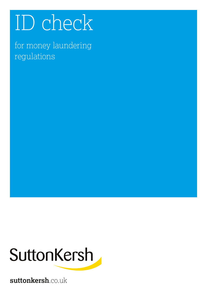# ID check

for money laundering regulations



**suttonkersh**.co.uk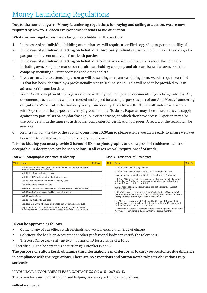## Money Laundering Regulations

**Due to the new changes to Money Laundering regulations for buying and selling at auction, we are now required by Law to ID check everyone who intends to bid at auction.**

**What the new regulations mean for you as a bidder at the auction:**

- 1. In the case of an *individual bidding at auction*, we will require a certified copy of a passport and utility bill.
- 2. In the case of an **individual acting on behalf of a third party individual**, we will require a certified copy of a passport and recent utility bill **from both parties**.
- 3. In the case of an **individual acting on behalf of a company** we will require details about the company including ownership information on the ultimate holding company and ultimate beneficial owners of the company, including current addresses and dates of birth.
- 4. If you are **unable to attend in person** or will be sending us a remote bidding form, we will require certified ID that has been identified by a professionally recognised individual. This will need to be provided to us in advance of the auction date.
- 5. Your ID will be kept on file for 6 years and we will only require updated documents if you change address. Any documents provided to us will be recorded and copied for audit purposes as part of our Anti Money Laundering obligations. We will also electronically verify your identity, Lexis Nexis OR ETSOS will undertake a search with Experian for the purposes of verifying your identity. To do so, Experian may check the details you supply against any particulars on any database (public or otherwise) to which they have access. Experian may also use your details in the future to assist other companies for verification purposes. A record of the search will be retained.
- 6. Registration on the day of the auction opens from 10:30am so please ensure you arrive early to ensure we have been able to satisfactory fulfil the necessary requirements.

**Prior to bidding you must provide 2 forms of ID, one photographic and one proof of residence – a list of acceptable ID documents can be seen below. In all cases we will require proof of funds.**

| List A - Photographic evidence of Identity |  |
|--------------------------------------------|--|
|--------------------------------------------|--|

| <b>Tick</b> | <b>Item</b>                                                                                                                              | Ref No |
|-------------|------------------------------------------------------------------------------------------------------------------------------------------|--------|
|             | Valid Passport with MRZ (Machine Readable Zone – two alphanumeric<br>lines on photo page as verifiable.)                                 |        |
|             | Valid full UK photo driving licence.                                                                                                     |        |
|             | Valid EU/EEA/Switzerland photo driving licence.                                                                                          |        |
|             | Valid EU/EEA/Switzerland national Identity Card.                                                                                         |        |
|             | Valid UK Armed Forces ID Card.                                                                                                           |        |
|             | Valid UK Biometric Residence Permit (When copying include both sides.)                                                                   |        |
|             | Valid Blue Badge scheme (disabled pass with photo)                                                                                       |        |
|             | Valid Freedom Pass                                                                                                                       |        |
|             | Valid Local Authority Bus pass                                                                                                           |        |
|             | Valid full UK Driving licence (Non photo, paper) issued before 1998                                                                      |        |
|             | Department for Works & Pensions letter confirming pension details<br>including National insurance Number dated within the last 12 months |        |

#### **List B – Evidence of Residence**

| <b>Tick</b> | <b>Item</b>                                                                                                                                                                                                  | Ref No |
|-------------|--------------------------------------------------------------------------------------------------------------------------------------------------------------------------------------------------------------|--------|
|             | Valid full UK photo driving licence.                                                                                                                                                                         |        |
|             | Valid full UK Driving licence (Non photo) issued before 1998                                                                                                                                                 |        |
|             | Local authority council tax bill (dated within the last 12 months).                                                                                                                                          |        |
|             | UK Bank / Building societies statements/bills showing activity, dated<br>within the last 6 mths. Including account number and sort code as<br>verifiable.) (Accept internet printed.)                        |        |
|             | UK mortgage statement (dated within the last 12 months) (Accept<br>internet printed.)                                                                                                                        |        |
|             | Utility bills dated within the last 6 months including – Electricity bill<br>(with MPAN number – as verifiable.) Landline, Gas, Satellite TV, Water.<br>(Accept internet printed.) (Not mobile phone bills.) |        |
|             | Her Majesty's Revenue and Customs (HMRC) Inland Revenue (IR)<br>Coding / assessment / statement (dated within the last 12 months) with<br>National Insurance number - as verifiable.                         |        |
|             | Department for Works & Pensions letter confirming pension details and<br>NI Number – as verifiable. (Dated within the last 12 months).                                                                       |        |

### **ID can be approved as follows:**

- Come to any of our offices with originals and we will certify them free of charge
- Solicitors, the bank, an accountant or other professional body can certify the relevant ID
- The Post Office can verify up to 3  $\times$  forms of ID for a charge of £10.50

All certified ID can be sent to us at auctions@suttonkersh.co.uk

**The purpose of Sutton Kersh obtaining this information is in order for us to carry out customer due diligence in compliance with the regulations. There are no exceptions and Sutton Kersh takes its obligations very seriously.**

IF YOU HAVE ANY QUERIES PLEASE CONTACT US ON 0151 207 6315.

Thank you for your understanding and helping us comply with these regulations.

 $s$ uttonkersh.co.uk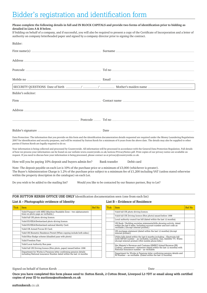#### Please complete the following details in full and IN BLOCK CAPITALS and provide two forms of identification prior to bidding as **detailed in Lists A & B below.**

If bidding on behalf of a company, and if successful, you will also be required to present a copy of the Certificate of Incorporation and a letter of authority on company letterheaded paper and signed by a company director prior to signing the contract.

| Bidder:                                                                                                                                                                                                                                                                                         |                                                                                                                                                                                                                                                                                                                                                          |
|-------------------------------------------------------------------------------------------------------------------------------------------------------------------------------------------------------------------------------------------------------------------------------------------------|----------------------------------------------------------------------------------------------------------------------------------------------------------------------------------------------------------------------------------------------------------------------------------------------------------------------------------------------------------|
|                                                                                                                                                                                                                                                                                                 | First name (s) Einst name Superior Superior Superior Superior Superior Superior Superior Superior Superior Superior Superior Superior Superior Superior Superior Superior Superior Superior Superior Superior Superior Superio                                                                                                                           |
|                                                                                                                                                                                                                                                                                                 |                                                                                                                                                                                                                                                                                                                                                          |
|                                                                                                                                                                                                                                                                                                 | Postcode <b>Exercise Construction Construction Construction Construction Construction Construction Construction Construction Construction Construction Construction Construction Construction Construction Construction Construc</b>                                                                                                                     |
|                                                                                                                                                                                                                                                                                                 | Mobile no <b>matter and the contract of the contract of the contract of the contract of the contract of the contract of the contract of the contract of the contract of the contract of the contract of the contract of the cont</b>                                                                                                                     |
|                                                                                                                                                                                                                                                                                                 |                                                                                                                                                                                                                                                                                                                                                          |
| Bidder's solicitor:                                                                                                                                                                                                                                                                             |                                                                                                                                                                                                                                                                                                                                                          |
|                                                                                                                                                                                                                                                                                                 |                                                                                                                                                                                                                                                                                                                                                          |
|                                                                                                                                                                                                                                                                                                 |                                                                                                                                                                                                                                                                                                                                                          |
|                                                                                                                                                                                                                                                                                                 |                                                                                                                                                                                                                                                                                                                                                          |
|                                                                                                                                                                                                                                                                                                 |                                                                                                                                                                                                                                                                                                                                                          |
| parties if Sutton Kersh are legally required to do so.                                                                                                                                                                                                                                          | Data Protection: The information that you provide on this form and the identification documentation details requested are required under the Money Laundering Regulations<br>2007 for identification and security purposes, and will be retained by Sutton Kersh for a minimum of 6 years from the above date. The details may also be supplied to other |
| of how we process your information can be found on our website www.countrywide.co.uk/notices/PrivacyNotice.pdf. Print copies of our privacy notice are available on<br>request. If you need to discuss how your information is being processed, please contact us at privacy@countrywide.co.uk. | Your information is being collected and processed by Countrywide. All information will be processed in accordance with the General Data Protection Regulation. Full details                                                                                                                                                                              |
| How will you be paying 10% deposit and buyers admin fee?                                                                                                                                                                                                                                        | Bank transfer<br>Debit card                                                                                                                                                                                                                                                                                                                              |
| Note: The deposit payable on each Lot is 10% of the purchase price or a minimum of $£3,000$ (whichever is greater).<br>within the property description in the catalogue) on each Lot.                                                                                                           | The Buyer's Administration Charge is 1.2% of the purchase price subject to a minimum fee of $£1,200$ including VAT (unless stated otherwise                                                                                                                                                                                                              |

Do you wish to be added to the mailing list? Would you like to be contacted by our finance partner, Buy to Let?

**FOR SUTTON KERSH OFFICE USE ONLY** Identification documentation seen (one from each list)

#### **List A – Photographic evidence of Identity List B – Evidence of Residence**

| <b>Tick</b> | <b>Item</b>                                                                                                                              | Ref No |
|-------------|------------------------------------------------------------------------------------------------------------------------------------------|--------|
|             | Valid Passport with MRZ (Machine Readable Zone – two alphanumeric<br>lines on photo page as verifiable.)                                 |        |
|             | Valid full UK photo driving licence.                                                                                                     |        |
|             | Valid EU/EEA/Switzerland photo driving licence.                                                                                          |        |
|             | Valid EU/EEA/Switzerland national Identity Card.                                                                                         |        |
|             | Valid UK Armed Forces ID Card.                                                                                                           |        |
|             | Valid UK Biometric Residence Permit (When copying include both sides.)                                                                   |        |
|             | Valid Blue Badge scheme (disabled pass with photo)                                                                                       |        |
|             | Valid Freedom Pass                                                                                                                       |        |
|             | Valid Local Authority Bus pass                                                                                                           |        |
|             | Valid full UK Driving licence (Non photo, paper) issued before 1998                                                                      |        |
|             | Department for Works & Pensions letter confirming pension details<br>including National insurance Number dated within the last 12 months |        |

| Tick | <b>Item</b>                                                                                                                                                                                                  | Ref No |
|------|--------------------------------------------------------------------------------------------------------------------------------------------------------------------------------------------------------------|--------|
|      | Valid full UK photo driving licence.                                                                                                                                                                         |        |
|      | Valid full UK Driving licence (Non photo) issued before 1998                                                                                                                                                 |        |
|      | Local authority council tax bill (dated within the last 12 months).                                                                                                                                          |        |
|      | UK Bank / Building societies statements/bills showing activity, dated<br>within the last 6 mths. Including account number and sort code as<br>verifiable.) (Accept internet printed.)                        |        |
|      | UK mortgage statement (dated within the last 12 months) (Accept<br>internet printed.)                                                                                                                        |        |
|      | Utility bills dated within the last 6 months including – Electricity bill<br>(with MPAN number – as verifiable.) Landline, Gas, Satellite TV, Water.<br>(Accept internet printed.) (Not mobile phone bills.) |        |
|      | Her Majesty's Revenue and Customs (HMRC) Inland Revenue (IR)<br>Coding / assessment / statement (dated within the last 12 months) with<br>National Insurance number - as verifiable.                         |        |
|      | Department for Works & Pensions letter confirming pension details and<br>NI Number – as verifiable. (Dated within the last 12 months).                                                                       |        |

Signed on behalf of Sutton Kersh **Example 2018** Date and Date and Date and Date and Date and Date and Date and Date and Date and Date and Date and Date and Date and Date and Date and Date and Date and Date and Date and Dat

Once you have completed this form please send to: Sutton Kersh, 2 Cotton Street, Liverpool L3 7DY or email along with certified **copies of your ID to auctions@suttonkersh.co.uk**